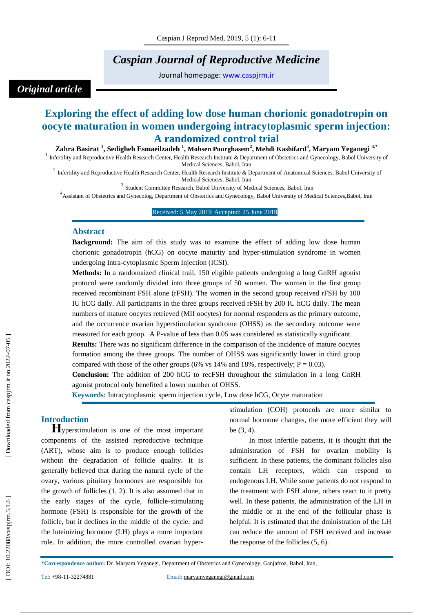## *Caspian Journal of Reproductive Medicine*

Journal homepage: [www.caspjrm.ir](http://www.caspjrm.ir/)

# *Original article*

## **Exploring the effect of adding low dose human chorionic gonadotropin on oocyte maturation in women undergoing intracytoplasmic sperm injection: A randomized control trial**

**Zahra Basirat 1 , Sedigheh Esmaeilzadeh 1 , Mohsen Pourghasem 2 , Me hdi Kashifard 3 , Maryam Yeganegi 4,\***

<sup>1</sup> Infertility and Reproductive Health Research Center, Health Research Institute & Department of Obstetrics and Gynecology, Babol University of Medical Sciences, Babol, Iran

<sup>2</sup> Infertility and Reproductive Health Research Center, Health Research Institute & Department of Anatomical Sciences, Babol University of Medical Sciences, Babol, Iran

<sup>3</sup> Student Committee Research, Babol University of Medical Sciences, Babol, Iran

<sup>4</sup> Assistant of Obstetrics and Gynecolog, Department of Obstetrics and Gynecology, Babol University of Medical Sciences, Babol, Iran

Received: 5 May 2019 Accepted: 25 June 2019

#### **Abstract**

**Background:** The aim of this study was to examine the effect of adding low dose human chorionic gonadotropin (hCG) on oocyte maturity and hyper -stimulation syndrome in women undergoing Intra -cytoplasmic Sperm Injection (ICSI).

**Methods:** In a randomaized clinical trail, 150 eligible patients undergoing a long GnRH agonist protocol were randomly divided into three groups of 50 women. The women in the first group received recombinant FSH alone (rFSH). The women in the second group received rFSH by 100 IU hCG daily. All participants in the three groups received rFSH by 200 IU hCG daily. The mean numbers of mature oocytes retrieved (MII oocytes) for normal responders as the primary outcome, and the occurrence ovarian hyperstimulation syndrome (OHSS) as the secondary outcome were measured for each group. A P -value of less than 0.05 was considered as statistically significant.

**Results:** There was no significant difference in the comparison of the incidence of mature oocytes formation among the three groups. The number of OHSS was significantly lower in third group compared with those of the other groups (6% vs 14% and 18%, respectively;  $P = 0.03$ ).

**Conclusion:** The addition of 200 hCG to recFSH throughout the stimulation in a long GnRH agonist protocol only benefited a lower number of OHSS.

**Keywords:** Intracytoplasmic sperm injection cycle, Low dose hCG, Ocyte maturation

**Introduction**<br>**H**yperstimulation is one of the most important components of the assisted reproductive technique (ART), whose aim is to produce enough follicles without the degradation of follicle quality. It is generally believed that during the natural cycle of the ovary, various pituitary hormones are responsible for the growth of follicles (1, 2). It is also assumed that in the early stages of the cycle, follicle -stimulating hormone (FSH) is responsible for the growth of the follicle, but it declines in the middle of the cycle, and the luteinizing hormone (LH) plays a more important role. In addition, the more controlled ovarian hyper -

stimulation (COH) protocols are more similar to normal hormone changes, the more efficient they will be (3, 4).

 In most infertile patients, it is thought that the administration of FSH for ovarian mobility is sufficient. In these patients, the dominant follicles also contain LH receptors, which can respond to endogenous LH. While some patients do not respond to the treatment with FSH alone, others react to it pretty well. In these patients, the administration of the LH in the middle or at the end of the follicular phase is helpful. It is estimated that the dministration of the LH can reduce the amount of FSH received and increase the response of the follicles (5, 6).

\***Correspondence author :** Dr. Maryam Yeganegi , Department of Obstetrics and Gynecology, Ganjafroz, Babol, Iran,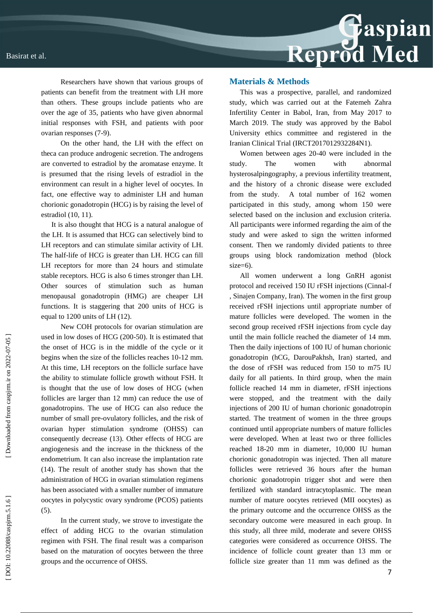Researchers have shown that various groups of patients can benefit from the treatment with LH more than others. These groups include patients who are over the age of 35, patients who have given abnormal initial responses with FSH, and patients with poor ovarian responses (7 -9).

 On the other hand, the LH with the effect on theca can produce androgenic secretion. The androgens are converted to estradiol by the aromatase enzyme. It is presumed that the rising levels of estradiol in the environment can result in a higher level of oocytes. In fact, one effective way to administer LH and human chorionic gonadotropin (HCG) is by raising the level of estradiol (10, 11).

It is also thought that HCG is a natural analogue of the LH. It is assumed that HCG can selectively bind to LH receptors and can stimulate similar activity of LH. The half-life of HCG is greater than LH. HCG can fill LH receptors for more than 24 hours and stimulate stable receptors. HCG is also 6 times stronger than LH. Other sources of stimulation such as human menopausal gonadotropin (HMG) are cheaper LH functions. It is staggering that 200 units of HCG is equal to 1200 units of LH (12).

 New COH protocols for ovarian stimulation are used in low doses of HCG (200 -50). It is estimated that the onset of HCG is in the middle of the cycle or it begins when the size of the follicles reaches 10 -12 mm. At this time, LH receptors on the follicle surface have the ability to stimulate follicle growth without FSH. It is thought that the use of low doses of HCG (when follicles are larger than 12 mm) can reduce the use of gonadotropins. The use of HCG can also reduce the number of small pre -ovulatory follicles, and the risk of ovarian hyper stimulation syndrome (OHSS) can consequently decrease (13). Other effects of HCG are angiogenesis and the increase in the thickness of the endometrium. It can also increase the implantation rate (14). The result of another study has shown that the administration of HCG in ovarian stimulation regimens has been associated with a smaller number of immature oocytes in polycystic ovary syndrome (PCOS) patients (5).

 In the current study, we strove to investigate the effect of adding HCG to the ovarian stimulation regimen with FSH. The final result was a comparison based on the maturation of oocytes between the three groups and the occurrence of OHSS.

#### **Materials & Methods**

This was a prospective, parallel, and randomized study, which was carried out at the Fatemeh Zahra Infertility Center in Babol, Iran, from May 2017 to March 2019. The study was approved by the Babol University ethics committee and registered in the Iranian Clinical Trial (IRCT2017012932284N1).

Women between ages 20 -40 were included in the study. The women with abnormal hysterosalpingography, a previous infertility treatment, and the history of a chronic disease were excluded from the study. A total number of 162 women participated in this study, among whom 150 were selected based on the inclusion and exclusion criteria. All participants were informed regarding the aim of the study and were asked to sign the written informed consent. Then we randomly divided patients to three groups using block randomization method (block size=6).

All women underwent a long GnRH agonist protocol and received 150 IU rFSH injections (Cinnal -f , Sinajen Company, Iran). The women in the first group received rFSH injections until appropriate number of mature follicles were developed. The women in the second group received rFSH injections from cycle day until the main follicle reached the diameter of 14 mm. Then the daily injections of 100 IU of human chorionic gonadotropin (hCG, DarouPakhsh, Iran) started, and the dose of rFSH was reduced from 150 to m75 IU daily for all patients. In third group, when the main follicle reached 14 mm in diameter, rFSH injections were stopped, and the treatment with the daily injections of 200 IU of human chorionic gonadotropin started. The treatment of women in the three groups continued until appropriate numbers of mature follicles were developed. When at least two or three follicles reached 18 -20 mm in diameter, 10,000 IU human chorionic gonadotropin was injected. Then all mature follicles were retrieved 36 hours after the human chorionic gonadotropin trigger shot and were then fertilized with standard intracytoplasmic. The mean number of mature oocytes retrieved (MII oocytes) as the primary outcome and the occurrence OHSS as the secondary outcome were measured in each group. In this study, all three mild, moderate and severe OHSS categories were considered as occurrence OHSS. The incidence of follicle count greater than 13 mm or follicle size greater than 11 mm was defined as the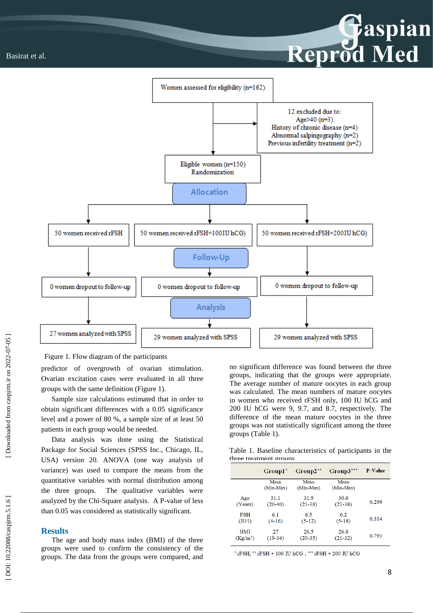

 [\[ DOI: 10.22088/caspjrm.5.1.6 \]](http://dx.doi.org/10.22088/caspjrm.5.1.6) [\[ Downloaded from caspjrm.ir on 2022-07-](http://caspjrm.ir/article-1-149-fa.html)05 ] Downloaded from caspirm.ir on 2022-07-05

Figure 1. Flow diagram of the participants

predictor of overgrowth of ovarian stimulation. Ovarian excitation cases were evaluated in all three groups with the same definition (Figure 1).

Sample size calculations estimated that in order to obtain significant differences with a 0.05 significance level and a power of 80 %, a sample size of at least 50 patients in each group would be needed.

Data analysis was done using the Statistical Package for Social Sciences (SPSS Inc., Chicago, IL, USA) version 20. ANOVA (one way analysis of variance) was used to compare the means from the quantitative variables with normal distribution among the three groups. The qualitative variables were analyzed by the Chi -Square analysis. A P -value of less than 0.05 was considered as statistically significant.

#### **Results**

The age and body mass index (BMI) of the three groups were used to confirm the consistency of the groups. The data from the groups were compared, and no significant difference was found between the three groups, indicating that the groups were appropriate. The average number of mature oocytes in each group was calculated. The mean numbers of mature oocytes in women who received rFSH only, 100 IU hCG and 200 IU hCG were 9, 9.7, and 8.7, respectively. The difference of the mean mature oocytes in the three groups was not statistically significant among the three groups (Table 1).

Reprod Med

Table 1. Baseline characteristics of participants in the three treatment groups

|                      | Group1 <sup>*</sup> | $Group2^{**}$ | $Group3***$ | P-Value |  |
|----------------------|---------------------|---------------|-------------|---------|--|
|                      | Mean                | Mean          | Mean        |         |  |
|                      | (Min-Max)           | (Min-Max)     | (Min-Max)   |         |  |
| Age                  | 311                 | 319           | 30.6        |         |  |
| (Years)              | $(20-40)$           | $(21-38)$     | $(21-38)$   | 0.299   |  |
| FSH                  | 6.1                 | 65            | 6.2         |         |  |
| (IU/I)               | $(4-16)$            | $(5-12)$      | $(5-18)$    | 0.314   |  |
| <b>BMI</b>           | 27                  | 26.5          | 26.8        |         |  |
| (Kg/m <sup>2</sup> ) | $(19-34)$           | $(20-35)$     | $(21-32)$   | 0.793   |  |

 $*$ rFSH;  $*$  rFSH + 100 IU hCG;  $*$  rFSH + 200 IU hCG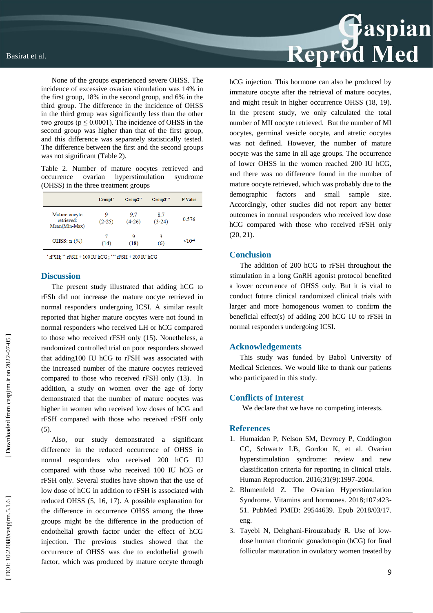None of the groups experienced severe OHSS. The incidence of excessive ovarian stimulation was 14% in the first group, 18% in the second group, and 6% in the third group. The difference in the incidence of OHSS in the third group was significantly less than the other two groups ( $p \le 0.0001$ ). The incidence of OHSS in the second group was higher than that of the first group, and this difference was separately statistically tested. The difference between the first and the second groups was not significant (Table 2).

Table 2. Number of mature oocytes retrieved and occurrence ovarian hyperstimulation syndrome (OHSS) in the three treatment groups

|                                              | Groupl*       | Group2"         | $Group3***$     | P-Value  |
|----------------------------------------------|---------------|-----------------|-----------------|----------|
| Mature oocyte<br>retrieved:<br>Mean(Min-Max) | 9<br>$(2-25)$ | 9.7<br>$(4-26)$ | 8.7<br>$(3-24)$ | 0.576    |
| OHSS: $n$ $%$                                | (14)          | ۹<br>(18)       | 3<br>(6)        | $< 10-4$ |

 $*$ rFSH;  $**$ rFSH + 100 IU hCG;  $***$ rFSH + 200 IU hCG

### **Discussion**

The present study illustrated that adding hCG to rFSh did not increase the mature oocyte retrieved in normal responders undergoing ICSI. A similar result reported that higher mature oocytes were not found in normal responders who received LH or hCG compared to those who received rFSH only (15). Nonetheless, a randomized controlled trial on poor responders showed that adding100 IU hCG to rFSH was associated with the increased number of the mature oocytes retrieved compared to those who received rFSH only (13). In addition, a study on women over the age of forty demonstrated that the number of mature oocytes was higher in women who received low doses of hCG and rFSH compared with those who received rFSH only (5).

Also, our study demonstrated a significant difference in the reduced occurrence of OHSS in normal responders who received 200 hCG IU compared with those who received 100 IU hCG or rFSH only. Several studies have shown that the use of low dose of hCG in addition to rFSH is associated with reduced OHSS (5, 16, 17). A possible explanation for the difference in occurrence OHSS among the three groups might be the difference in the production of endothelial growth factor under the effect of hCG injection. The previous studies showed that the occurrence of OHSS was due to endothelial growth factor, which was produced by mature occyte through



hCG injection. This hormone can also be produced by immature oocyte after the retrieval of mature oocytes, and might result in higher occurrence OHSS (18, 19). In the present study, we only calculated the total number of MII oocyte retrieved. But the number of MI oocytes, germinal vesicle oocyte, and atretic oocytes was not defined. However, the number of mature oocyte was the same in all age groups. The occurrence of lower OHSS in the women reached 200 IU hCG, and there was no difference found in the number of mature oocyte retrieved, which was probably due to the demographic factors and small sample size. Accordingly, other studies did not report any better outcomes in normal responders who received low dose hCG compared with those who received rFSH only (20, 21).

#### **Conclusion**

The addition of 200 hCG to rFSH throughout the stimulation in a long GnRH agonist protocol benefited a lower occurrence of OHSS only. But it is vital to conduct future clinical randomized clinical trials with larger and more homogenous women to confirm the beneficial effect(s) of adding 200 hCG IU to rFSH in normal responders undergoing ICSI.

#### **Acknowledgements**

This study was funded by Babol University of Medical Sciences. We would like to thank our patients who participated in this study.

#### **Conflicts of Interest**

We declare that we have no competing interests.

#### **References**

- 1. Humaidan P, Nelson SM, Devroey P, Coddington CC, Schwartz LB, Gordon K, et al. Ovarian hyperstimulation syndrome: review and new classification criteria for reporting in clinical trials. Human Reproduction. 2016;31(9):1997 -2004.
- 2. Blumenfeld Z. The Ovarian Hyperstimulation Syndrome. Vitamins and hormones. 2018;107:423 - 51. PubMed PMID: 29544639. Epub 2018/03/17. eng.
- 3. Tayebi N, Dehghani -Firouzabady R. Use of low dose human chorionic gonadotropin (hCG) for final follicular maturation in ovulatory women treated by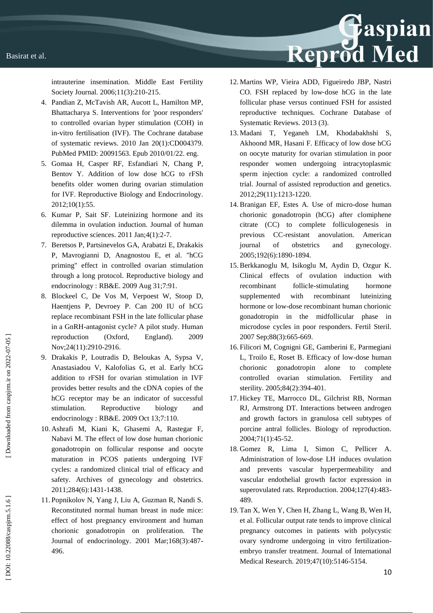intrauterine insemination. Middle East Fertility Society Journal. 2006;11(3):210 -215.

- 4. Pandian Z, McTavish AR, Aucott L, Hamilton MP, Bhattacharya S. Interventions for 'poor responders' to controlled ovarian hyper stimulation (COH) in in -vitro fertilisation (IVF). The Cochrane database of systematic reviews. 2010 Jan 20(1):CD004379. PubMed PMID: 20091563. Epub 2010/01/22. eng.
- 5. Gomaa H, Casper RF, Esfandiari N, Chang P, Bentov Y. Addition of low dose hCG to rFSh benefits older women during ovarian stimulation for IVF. Reproductive Biology and Endocrinology. 2012;10(1):55.
- 6. Kumar P, Sait SF. Luteinizing hormone and its dilemma in ovulation induction. Journal of human reproductive sciences. 2011 Jan;4(1):2 -7.
- 7. Beretsos P, Partsinevelos GA, Arabatzi E, Drakakis P, Mavrogianni D, Anagnostou E, et al. "hCG priming" effect in controlled ovarian stimulation through a long protocol. Reproductive biology and endocrinology : RB&E. 2009 Aug 31;7:91.
- 8. Blockeel C, De Vos M, Verpoest W, Stoop D, Haentjens P, Devroey P. Can 200 IU of hCG replace recombinant FSH in the late follicular phase in a GnRH -antagonist cycle? A pilot study. Human reproduction (Oxford, England). 2009 Nov;24(11):2910 -2916.
- 9. Drakakis P, Loutradis D, Beloukas A, Sypsa V, Anastasiadou V, Kalofolias G, et al. Early hCG addition to rFSH for ovarian stimulation in IVF provides better results and the cDNA copies of the hCG receptor may be an indicator of successful stimulation. Reproductive biology and endocrinology : RB&E. 2009 Oct 13;7:110.
- 10. Ashrafi M, Kiani K, Ghasemi A, Rastegar F, Nabavi M. The effect of low dose human chorionic gonadotropin on follicular response and oocyte maturation in PCOS patients undergoing IVF cycles: a randomized clinical trial of efficacy and safety. Archives of gynecology and obstetrics. 2011;284(6):1431 -1438.
- 11. Popnikolov N, Yang J, Liu A, Guzman R, Nandi S. Reconstituted normal human breast in nude mice: effect of host pregnancy environment and human chorionic gonadotropin on proliferation. The Journal of endocrinology. 2001 Mar;168(3):487 - 496.

12. Martins WP, Vieira ADD, Figueiredo JBP, Nastri CO. FSH replaced by low ‐dose hCG in the late follicular phase versus continued FSH for assisted reproductive techniques. Cochrane Database of Systematic Reviews. 2013 (3).

Reprod Med

- 13. Madani T, Yeganeh LM, Khodabakhshi S, Akhoond MR, Hasani F. Efficacy of low dose hCG on oocyte maturity for ovarian stimulation in poor responder women undergoing intracytoplasmic sperm injection cycle: a randomized controlled trial. Journal of assisted reproduction and genetics. 2012;29(11):1213 -1220.
- 14.Branigan EF, Estes A. Use of micro -dose human chorionic gonadotropin (hCG) after clomiphene citrate (CC) to complete folliculogenesis in previous CC-resistant anovulation. American journal of obstetrics and gynecology. 2005;192(6):1890 -1894.
- 15.Berkkanoglu M, Isikoglu M, Aydin D, Ozgur K. Clinical effects of ovulation induction with recombinant follicle-stimulating hormone supplemented with recombinant luteinizing hormone or low -dose recombinant human chorionic gonadotropin in the midfollicular phase in microdose cycles in poor responders. Fertil Steril. 2007 Sep;88(3):665-669.
- 16. Filicori M, Cognigni GE, Gamberini E, Parmegiani L, Troilo E, Roset B. Efficacy of low -dose human chorionic gonadotropin alone to complete controlled ovarian stimulation. Fertility and sterility. 2005;84(2):394 -401.
- 17. Hickey TE, Marrocco DL, Gilchrist RB, Norman RJ, Armstrong DT. Interactions between androgen and growth factors in granulosa cell subtypes of porcine antral follicles. Biology of reproduction. 2004;71(1):45 -52.
- 18. Gomez R, Lima I, Simon C, Pellicer A. Administration of low -dose LH induces ovulation and prevents vascular hyperpermeability and vascular endothelial growth factor expression in superovulated rats. Reproduction. 2004;127(4):483 - 489.
- 19. Tan X, Wen Y, Chen H, Zhang L, Wang B, Wen H, et al. Follicular output rate tends to improve clinical pregnancy outcomes in patients with polycystic ovary syndrome undergoing in vitro fertilization embryo transfer treatment. Journal of International Medical Research. 2019;47(10):5146 -5154.